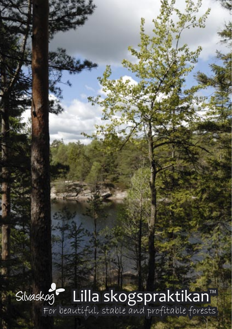Lilla skogspraktikan™ For beautiful, stable and profitable forests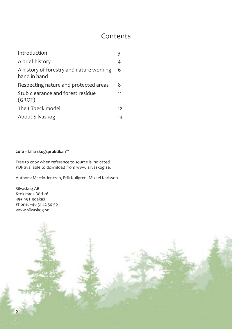### Contents

| Introduction                                             |    |
|----------------------------------------------------------|----|
| A brief history                                          | 4  |
| A history of forestry and nature working<br>hand in hand | 6  |
| Respecting nature and protected areas                    | 8  |
| Stub clearance and forest residue<br>(GROT)              | 11 |
| The Lübeck model                                         | 12 |
| About Silvaskog                                          | 14 |

#### **2010 – Lilla skogspraktikan™**

Free to copy when reference to source is indicated. PDF available to download from www.silvaskog.se.

Authors: Martin Jentzen, Erik Kullgren, Mikael Karlsson

Silvaskog AB Krokstads Röd 26 455 95 Hedekas Phone: +46 31 42 50 50 www.silvaskog.se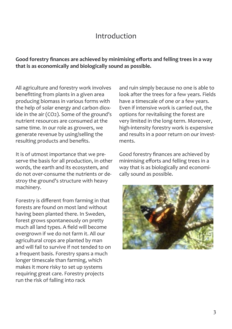### Introduction

**Good forestry finances are achieved by minimising efforts and felling trees in a way that is as economically and biologically sound as possible.**

All agriculture and forestry work involves benefitting from plants in a given area producing biomass in various forms with the help of solar energy and carbon dioxide in the air (CO2). Some of the ground's nutrient resources are consumed at the same time. In our role as growers, we generate revenue by using/selling the resulting products and benefits.

It is of utmost importance that we preserve the basis for all production, in other words, the earth and its ecosystem, and do not over-consume the nutrients or destroy the ground's structure with heavy machinery.

Forestry is different from farming in that forests are found on most land without having been planted there. In Sweden, forest grows spontaneously on pretty much all land types. A field will become overgrown if we do not farm it. All our agricultural crops are planted by man and will fail to survive if not tended to on a frequent basis. Forestry spans a much longer timescale than farming, which makes it more risky to set up systems requiring great care. Forestry projects run the risk of falling into rack

and ruin simply because no one is able to look after the trees for a few years. Fields have a timescale of one or a few years. Even if intensive work is carried out, the options for revitalising the forest are very limited in the long-term. Moreover, high-intensity forestry work is expensive and results in a poor return on our investments.

Good forestry finances are achieved by minimising efforts and felling trees in a way that is as biologically and economically sound as possible.

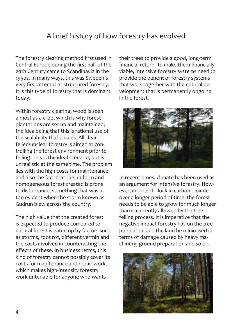## A brief history of how forestry has evolved

The forestry clearing method first used in Central Europe during the first half of the 20th Century came to Scandinavia in the 1950s. In many ways, this was Sweden's very first attempt at structured forestry. It is this type of forestry that is dominant today.

Within forestry clearing, wood is seen almost as a crop, which is why forest plantations are set up and maintained; the idea being that this is rational use of the scalability that ensues. All clearfelled/unclear forestry is aimed at controlling the forest environment prior to felling. This is the ideal scenario, but is unrealistic at the same time. The problem lies with the high costs for maintenance and also the fact that the uniform and homogeneous forest created is prone to disturbance, something that was all too evident when the storm known as Gudrun blew across the country.

The high value that the created forest is expected to produce compared to natural forest is eaten up by factors such as storms, root rot, different vermin and the costs involved in counteracting the effects of these. In business terms, this kind of forestry cannot possibly cover its costs for maintenance and repair work, which makes high-intensity forestry work untenable for anyone who wants

their trees to provide a good, long-term financial return. To make them financially viable, intensive forestry systems need to provide the benefit of forestry systems that work together with the natural development that is permanently ongoing in the forest.



In recent times, climate has been used as an argument for intensive forestry. However, in order to lock in carbon dioxide over a longer period of time, the forest needs to be able to grow for much longer than is currently allowed by the tree felling process. It is imperative that the negative impact forestry has on the tree population and the land be minimised in terms of damage caused by heavy machinery, ground preparation and so on.

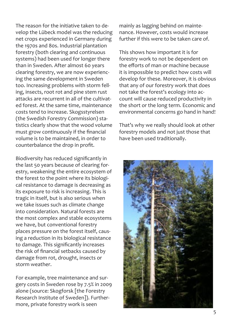The reason for the initiative taken to develop the Lübeck model was the reducing net crops experienced in Germany during the 1970s and 80s. Industrial plantation forestry (both clearing and continuous systems) had been used for longer there than in Sweden. After almost 60 years clearing forestry, we are now experiencing the same development in Sweden too. Increasing problems with storm felling, insects, root rot and pine stem rust attacks are recurrent in all of the cultivated forest. At the same time, maintenance costs tend to increase. Skogsstyrelsen (the Swedish Forestry Commission) statistics clearly show that the wood volume must grow continuously if the financial volume is to be maintained, in order to counterbalance the drop in profit.

Biodiversity has reduced significantly in the last 50 years because of clearing forestry, weakening the entire ecosystem of the forest to the point where its biological resistance to damage is decreasing as its exposure to risk is increasing. This is tragic in itself, but is also serious when we take issues such as climate change into consideration. Natural forests are the most complex and stable ecosystems we have, but conventional forestry places pressure on the forest itself, causing a reduction in its biological resistance to damage. This significantly increases the risk of financial setbacks caused by damage from rot, drought, insects or storm weather.

For example, tree maintenance and surgery costs in Sweden rose by 7.5% in 2009 alone (source: Skogforsk [the Forestry Research Institute of Sweden]). Furthermore, private forestry work is seen

mainly as lagging behind on maintenance. However, costs would increase further if this were to be taken care of.

This shows how important it is for forestry work to not be dependent on the efforts of man or machine because it is impossible to predict how costs will develop for these. Moreover, it is obvious that any of our forestry work that does not take the forest's ecology into account will cause reduced productivity in the short or the long term. Economic and environmental concerns go hand in hand!

That's why we really should look at other forestry models and not just those that have been used traditionally.

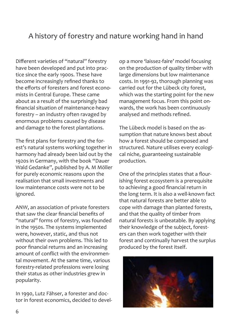## A history of forestry and nature working hand in hand

Different varieties of "natural" forestry have been developed and put into practice since the early 1900s. These have become increasingly refined thanks to the efforts of foresters and forest economists in Central Europe. These came about as a result of the surprisingly bad financial situation of maintenance-heavy forestry – an industry often ravaged by enormous problems caused by disease and damage to the forest plantations.

The first plans for forestry and the forest's natural systems working together in harmony had already been laid out by the 1920s in Germany, with the book "Dauer Wald Gedanke", published by A. M Möller for purely economic reasons upon the realisation that small investments and low maintenance costs were not to be ignored.

ANW, an association of private foresters that saw the clear financial benefits of "natural" forms of forestry, was founded in the 1950s. The systems implemented were, however, static, and thus not without their own problems. This led to poor financial returns and an increasing amount of conflict with the environmental movement. At the same time, various forestry-related professions were losing their status as other industries grew in popularity.

In 1990, Lutz Fähser, a forester and doctor in forest economics, decided to develop a more 'laissez-faire' model focusing on the production of quality timber with large dimensions but low maintenance costs. In 1991-92, thorough planning was carried out for the Lübeck city forest, which was the starting point for the new management focus. From this point onwards, the work has been continuously analysed and methods refined.

The Lübeck model is based on the assumption that nature knows best about how a forest should be composed and structured. Nature utilises every ecological niche, guaranteeing sustainable production.

One of the principles states that a flourishing forest ecosystem is a prerequisite to achieving a good financial return in the long term. It is also a well-known fact that natural forests are better able to cope with damage than planted forests, and that the quality of timber from natural forests is unbeatable. By applying their knowledge of the subject, foresters can then work together with their forest and continually harvest the surplus produced by the forest itself.

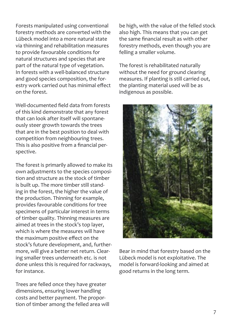Forests manipulated using conventional forestry methods are converted with the Lübeck model into a more natural state via thinning and rehabilitation measures to provide favourable conditions for natural structures and species that are part of the natural type of vegetation. In forests with a well-balanced structure and good species composition, the forestry work carried out has minimal effect on the forest.

Well-documented field data from forests of this kind demonstrate that any forest that can look after itself will spontaneously steer growth towards the trees that are in the best position to deal with competition from neighbouring trees. This is also positive from a financial perspective.

The forest is primarily allowed to make its own adjustments to the species composition and structure as the stock of timber is built up. The more timber still standing in the forest, the higher the value of the production. Thinning for example, provides favourable conditions for tree specimens of particular interest in terms of timber quality. Thinning measures are aimed at trees in the stock's top layer, which is where the measures will have the maximum positive effect on the stock's future development, and, furthermore, will give a better net return. Clearing smaller trees underneath etc. is not done unless this is required for rackways, for instance.

Trees are felled once they have greater dimensions, ensuring lower handling costs and better payment. The proportion of timber among the felled area will

be high, with the value of the felled stock also high. This means that you can get the same financial result as with other forestry methods, even though you are felling a smaller volume.

The forest is rehabilitated naturally without the need for ground clearing measures. If planting is still carried out, the planting material used will be as indigenous as possible.



Bear in mind that forestry based on the Lübeck model is not exploitative. The model is forward-looking and aimed at good returns in the long term.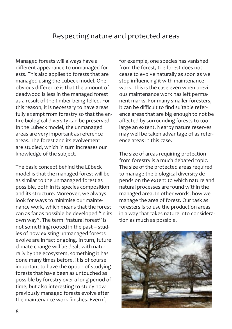### Respecting nature and protected areas

Managed forests will always have a different appearance to unmanaged forests. This also applies to forests that are managed using the Lübeck model. One obvious difference is that the amount of deadwood is less in the managed forest as a result of the timber being felled. For this reason, it is necessary to have areas fully exempt from forestry so that the entire biological diversity can be preserved. In the Lübeck model, the unmanaged areas are very important as reference areas. The forest and its evolvement are studied, which in turn increases our knowledge of the subject.

The basic concept behind the Lübeck model is that the managed forest will be as similar to the unmanaged forest as possible, both in its species composition and its structure. Moreover, we always look for ways to minimise our maintenance work, which means that the forest can as far as possible be developed "in its own way". The term "natural forest" is not something rooted in the past – studies of how existing unmanaged forests evolve are in fact ongoing. In turn, future climate change will be dealt with naturally by the ecosystem, something it has done many times before. It is of course important to have the option of studying forests that have been as untouched as possible by forestry over a long period of time, but also interesting to study how previously managed forests evolve after the maintenance work finishes. Even if,

for example, one species has vanished from the forest, the forest does not cease to evolve naturally as soon as we stop influencing it with maintenance work. This is the case even when previous maintenance work has left permanent marks. For many smaller foresters, it can be difficult to find suitable reference areas that are big enough to not be affected by surrounding forests to too large an extent. Nearby nature reserves may well be taken advantage of as reference areas in this case.

The size of areas requiring protection from forestry is a much debated topic. The size of the protected areas required to manage the biological diversity depends on the extent to which nature and natural processes are found within the managed area. In other words, how we manage the area of forest. Our task as foresters is to use the production areas in a way that takes nature into consideration as much as possible.

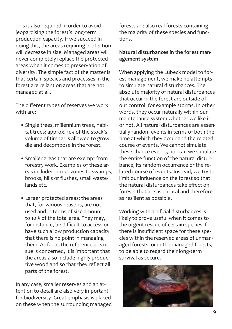This is also required in order to avoid jeopardising the forest's long-term production capacity. If we succeed in doing this, the areas requiring protection will decrease in size. Managed areas will never completely replace the protected areas when it comes to preservation of diversity. The simple fact of the matter is that certain species and processes in the forest are reliant on areas that are not managed at all.

The different types of reserves we work with are:

- Single trees, millennium trees, habitat trees: approx. 10% of the stock's volume of timber is allowed to grow, die and decompose in the forest.
- Smaller areas that are exempt from forestry work. Examples of these areas include: border zones to swamps, brooks, hills or flushes, small wastelands etc.
- Larger protected areas; the areas that, for various reasons, are not used and in terms of size amount to 10 % of the total area. They may, for instance, be difficult to access or have such a low production capacity that there is no point in managing them. As far as the reference area issue is concerned, it is important that the areas also include highly productive woodland so that they reflect all parts of the forest.

In any case, smaller reserves and an attention to detail are also very important for biodiversity. Great emphasis is placed on these when the surrounding managed

forests are also real forests containing the majority of these species and functions.

#### **Natural disturbances in the forest management system**

When applying the Lübeck model to forest management, we make no attempts to simulate natural disturbances. The absolute majority of natural disturbances that occur in the forest are outside of our control, for example storms. In other words, they occur naturally within our maintenance system whether we like it or not. All natural disturbances are essentially random events in terms of both the time at which they occur and the related course of events. We cannot simulate these chance events, nor can we simulate the entire function of the natural disturbance, its random occurrence or the related course of events. Instead, we try to limit our influence on the forest so that the natural disturbances take effect on forests that are as natural and therefore as resilient as possible.

Working with artificial disturbances is likely to prove useful when it comes to the urgent rescue of certain species if there is insufficient space for these species within the reserved areas of unmanaged forests, or in the managed forests, to be able to regard their long-term survival as secure.

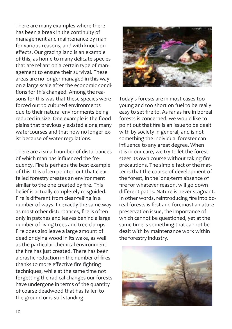There are many examples where there has been a break in the continuity of management and maintenance by man for various reasons, and with knock-on effects. Our grazing land is an example of this, as home to many delicate species that are reliant on a certain type of management to ensure their survival. These areas are no longer managed in this way on a large scale after the economic conditions for this changed. Among the reasons for this was that these species were forced out to cultured environments due to their natural environments being reduced in size. One example is the flood plains that previously existed along many watercourses and that now no longer exist because of water regulations.

There are a small number of disturbances of which man has influenced the frequency. Fire is perhaps the best example of this. It is often pointed out that clearfelled forestry creates an environment similar to the one created by fire. This belief is actually completely misguided. Fire is different from clear-felling in a number of ways. In exactly the same way as most other disturbances, fire is often only in patches and leaves behind a large number of living trees and tree clumps. Fire does also leave a large amount of dead or dying wood in its wake, as well as the particular chemical environment the fire has just created. There has been a drastic reduction in the number of fires thanks to more effective fire fighting techniques, while at the same time not forgetting the radical changes our forests have undergone in terms of the quantity of coarse deadwood that has fallen to the ground or is still standing.



Today's forests are in most cases too young and too short on fuel to be really easy to set fire to. As far as fire in boreal forests is concerned, we would like to point out that fire is an issue to be dealt with by society in general, and is not something the individual forester can influence to any great degree. When it is in our care, we try to let the forest steer its own course without taking fire precautions. The simple fact of the matter is that the course of development of the forest, in the long-term absence of fire for whatever reason, will go down different paths. Nature is never stagnant. In other words, reintroducing fire into boreal forests is first and foremost a nature preservation issue, the importance of which cannot be questioned, yet at the same time is something that cannot be dealt with by maintenance work within the forestry industry.

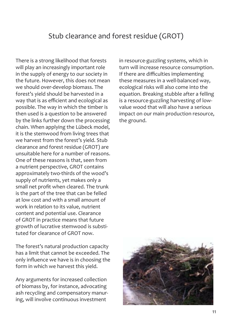### Stub clearance and forest residue (GROT)

There is a strong likelihood that forests will play an increasingly important role in the supply of energy to our society in the future. However, this does not mean we should over-develop biomass. The forest's yield should be harvested in a way that is as efficient and ecological as possible. The way in which the timber is then used is a question to be answered by the links further down the processing chain. When applying the Lübeck model, it is the stemwood from living trees that we harvest from the forest's yield. Stub clearance and forest residue (GROT) are unsuitable here for a number of reasons. One of these reasons is that, seen from a nutrient perspective, GROT contains approximately two-thirds of the wood's supply of nutrients, yet makes only a small net profit when cleared. The trunk is the part of the tree that can be felled at low cost and with a small amount of work in relation to its value, nutrient content and potential use. Clearance of GROT in practice means that future growth of lucrative stemwood is substituted for clearance of GROT now.

The forest's natural production capacity has a limit that cannot be exceeded. The only influence we have is in choosing the form in which we harvest this yield.

Any arguments for increased collection of biomass by, for instance, advocating ash recycling and compensatory manuring, will involve continuous investment

in resource-guzzling systems, which in turn will increase resource consumption. If there are difficulties implementing these measures in a well-balanced way, ecological risks will also come into the equation. Breaking stubble after a felling is a resource-guzzling harvesting of lowvalue wood that will also have a serious impact on our main production resource, the ground.

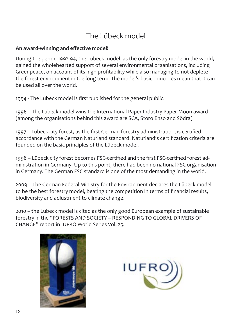# The Lübeck model

#### **An award-winning and effective model!**

During the period 1992-94, the Lübeck model, as the only forestry model in the world, gained the wholehearted support of several environmental organisations, including Greenpeace, on account of its high profitability while also managing to not deplete the forest environment in the long term. The model's basic principles mean that it can be used all over the world.

1994 - The Lübeck model is first published for the general public.

1996 – The Lübeck model wins the International Paper Industry Paper Moon award (among the organisations behind this award are SCA, Storo Enso and Södra)

1997 – Lübeck city forest, as the first German forestry administration, is certified in accordance with the German Naturland standard. Naturland's certification criteria are founded on the basic principles of the Lübeck model.

1998 – Lübeck city forest becomes FSC-certified and the first FSC-certified forest administration in Germany. Up to this point, there had been no national FSC organisation in Germany. The German FSC standard is one of the most demanding in the world.

2009 – The German Federal Ministry for the Environment declares the Lübeck model to be the best forestry model, beating the competition in terms of financial results, biodiversity and adjustment to climate change.

2010 – the Lübeck model is cited as the only good European example of sustainable forestry in the "FORESTS AND SOCIETY – RESPONDING TO GLOBAL DRIVERS OF CHANGE" report in IUFRO World Series Vol. 25.



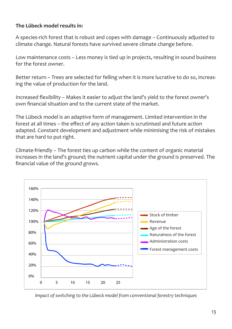#### **The Lübeck model results in:**

A species-rich forest that is robust and copes with damage – Continuously adjusted to climate change. Natural forests have survived severe climate change before.

Low maintenance costs – Less money is tied up in projects, resulting in sound business for the forest owner.

Better return – Trees are selected for felling when it is more lucrative to do so, increasing the value of production for the land.

Increased flexibility – Makes it easier to adjust the land's yield to the forest owner's own financial situation and to the current state of the market.

The Lübeck model is an adaptive form of management. Limited intervention in the forest at all times – the effect of any action taken is scrutinised and future action adapted. Constant development and adjustment while minimising the risk of mistakes that are hard to put right.

Climate-friendly – The forest ties up carbon while the content of organic material increases in the land's ground; the nutrient capital under the ground is preserved. The financial value of the ground grows.



*Impact of switching to the Lübeck model from conventional forestry techniques*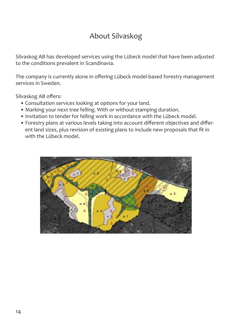# About Silvaskog

Silvaskog AB has developed services using the Lübeck model that have been adjusted to the conditions prevalent in Scandinavia.

The company is currently alone in offering Lübeck model-based forestry management services in Sweden.

Silvaskog AB offers:

- Consultation services looking at options for your land.
- Marking your next tree felling. With or without stamping duration.
- Invitation to tender for felling work in accordance with the Lübeck model.
- Forestry plans at various levels taking into account different objectives and different land sizes, plus revision of existing plans to include new proposals that fit in with the Lübeck model.

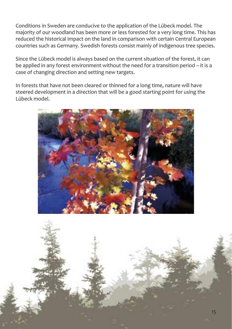Conditions in Sweden are conducive to the application of the Lübeck model. The majority of our woodland has been more or less forested for a very long time. This has reduced the historical impact on the land in comparison with certain Central European countries such as Germany. Swedish forests consist mainly of indigenous tree species.

Since the Lübeck model is always based on the current situation of the forest, it can be applied in any forest environment without the need for a transition period – it is a case of changing direction and setting new targets.

In forests that have not been cleared or thinned for a long time, nature will have steered development in a direction that will be a good starting point for using the Lübeck model.